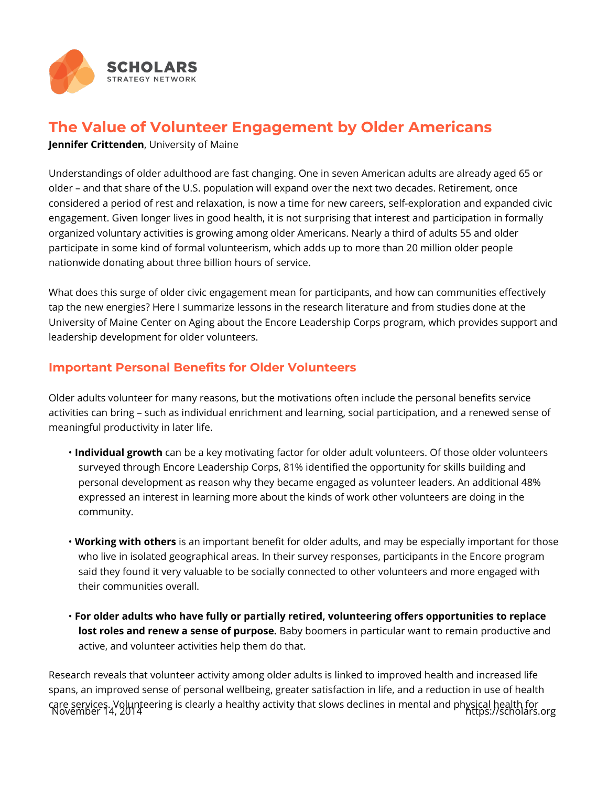

## **The Value of Volunteer Engagement by Older Americans**

**Jennifer Crittenden**, University of Maine

Understandings of older adulthood are fast changing. One in seven American adults are already aged 65 or older – and that share of the U.S. population will expand over the next two decades. Retirement, once considered a period of rest and relaxation, is now a time for new careers, self-exploration and expanded civic engagement. Given longer lives in good health, it is not surprising that interest and participation in formally organized voluntary activities is growing among older Americans. Nearly a third of adults 55 and older participate in some kind of formal volunteerism, which adds up to more than 20 million older people nationwide donating about three billion hours of service.

What does this surge of older civic engagement mean for participants, and how can communities effectively tap the new energies? Here I summarize lessons in the research literature and from studies done at the University of Maine Center on Aging about the Encore Leadership Corps program, which provides support and leadership development for older volunteers.

## **Important Personal Benefits for Older Volunteers**

Older adults volunteer for many reasons, but the motivations often include the personal benefits service activities can bring – such as individual enrichment and learning, social participation, and a renewed sense of meaningful productivity in later life.

- **Individual growth** can be a key motivating factor for older adult volunteers. Of those older volunteers surveyed through Encore Leadership Corps, 81% identified the opportunity for skills building and personal development as reason why they became engaged as volunteer leaders. An additional 48% expressed an interest in learning more about the kinds of work other volunteers are doing in the community.
- **Working with others** is an important benefit for older adults, and may be especially important for those who live in isolated geographical areas. In their survey responses, participants in the Encore program said they found it very valuable to be socially connected to other volunteers and more engaged with their communities overall.
- **For older adults who have fully or partially retired, volunteering offers opportunities to replace lost roles and renew a sense of purpose.** Baby boomers in particular want to remain productive and active, and volunteer activities help them do that.

Research reveals that volunteer activity among older adults is linked to improved health and increased life spans, an improved sense of personal wellbeing, greater satisfaction in life, and a reduction in use of health care services. Volunteering is clearly a healthy activity that slows declines in mental and physical health for<br>November 14, 2014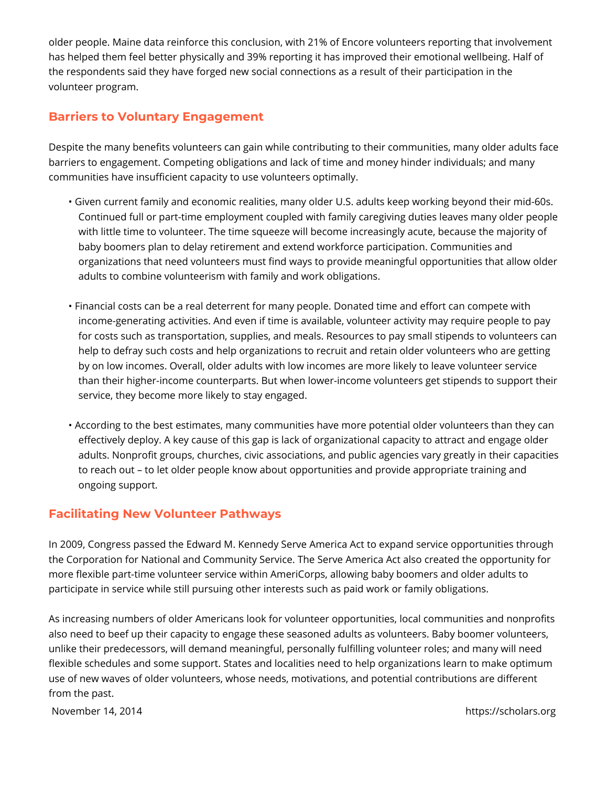older people. Maine data reinforce this conclusion, with 21% of Encore volunteers reporting that involvement has helped them feel better physically and 39% reporting it has improved their emotional wellbeing. Half of the respondents said they have forged new social connections as a result of their participation in the volunteer program.

## **Barriers to Voluntary Engagement**

Despite the many benefits volunteers can gain while contributing to their communities, many older adults face barriers to engagement. Competing obligations and lack of time and money hinder individuals; and many communities have insufficient capacity to use volunteers optimally.

- Given current family and economic realities, many older U.S. adults keep working beyond their mid-60s. Continued full or part-time employment coupled with family caregiving duties leaves many older people with little time to volunteer. The time squeeze will become increasingly acute, because the majority of baby boomers plan to delay retirement and extend workforce participation. Communities and organizations that need volunteers must find ways to provide meaningful opportunities that allow older adults to combine volunteerism with family and work obligations.
- Financial costs can be a real deterrent for many people. Donated time and effort can compete with income-generating activities. And even if time is available, volunteer activity may require people to pay for costs such as transportation, supplies, and meals. Resources to pay small stipends to volunteers can help to defray such costs and help organizations to recruit and retain older volunteers who are getting by on low incomes. Overall, older adults with low incomes are more likely to leave volunteer service than their higher-income counterparts. But when lower-income volunteers get stipends to support their service, they become more likely to stay engaged.
- According to the best estimates, many communities have more potential older volunteers than they can effectively deploy. A key cause of this gap is lack of organizational capacity to attract and engage older adults. Nonprofit groups, churches, civic associations, and public agencies vary greatly in their capacities to reach out – to let older people know about opportunities and provide appropriate training and ongoing support.

## **Facilitating New Volunteer Pathways**

In 2009, Congress passed the Edward M. Kennedy Serve America Act to expand service opportunities through the Corporation for National and Community Service. The Serve America Act also created the opportunity for more flexible part-time volunteer service within AmeriCorps, allowing baby boomers and older adults to participate in service while still pursuing other interests such as paid work or family obligations.

As increasing numbers of older Americans look for volunteer opportunities, local communities and nonprofits also need to beef up their capacity to engage these seasoned adults as volunteers. Baby boomer volunteers, unlike their predecessors, will demand meaningful, personally fulfilling volunteer roles; and many will need flexible schedules and some support. States and localities need to help organizations learn to make optimum use of new waves of older volunteers, whose needs, motivations, and potential contributions are different from the past.

November 14, 2014 **https://scholars.org**